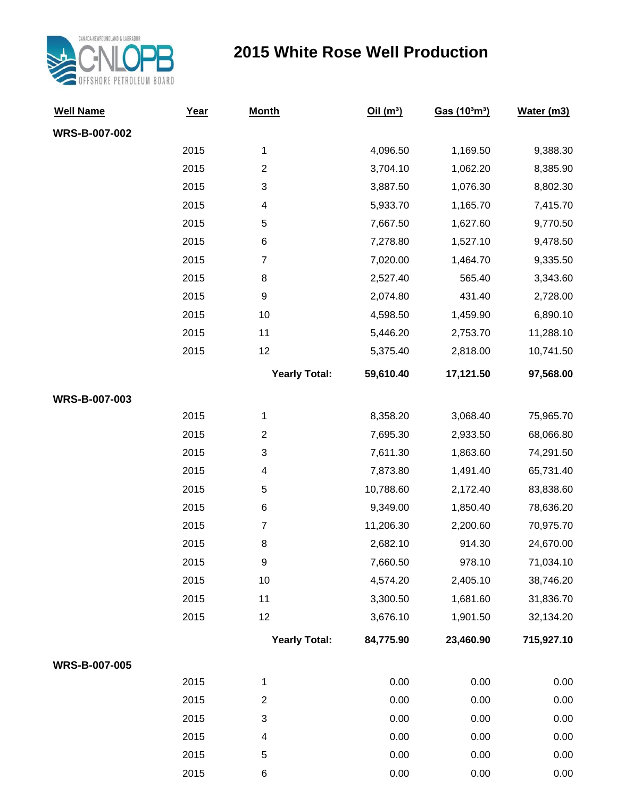

## **2015 White Rose Well Production**

| <b>Well Name</b>     | Year | <b>Month</b>         | Oil(m <sup>3</sup> ) | Gas (10 <sup>3</sup> m <sup>3</sup> ) | Water (m3) |
|----------------------|------|----------------------|----------------------|---------------------------------------|------------|
| <b>WRS-B-007-002</b> |      |                      |                      |                                       |            |
|                      | 2015 | 1                    | 4,096.50             | 1,169.50                              | 9,388.30   |
|                      | 2015 | $\boldsymbol{2}$     | 3,704.10             | 1,062.20                              | 8,385.90   |
|                      | 2015 | 3                    | 3,887.50             | 1,076.30                              | 8,802.30   |
|                      | 2015 | 4                    | 5,933.70             | 1,165.70                              | 7,415.70   |
|                      | 2015 | 5                    | 7,667.50             | 1,627.60                              | 9,770.50   |
|                      | 2015 | 6                    | 7,278.80             | 1,527.10                              | 9,478.50   |
|                      | 2015 | $\overline{7}$       | 7,020.00             | 1,464.70                              | 9,335.50   |
|                      | 2015 | 8                    | 2,527.40             | 565.40                                | 3,343.60   |
|                      | 2015 | 9                    | 2,074.80             | 431.40                                | 2,728.00   |
|                      | 2015 | 10                   | 4,598.50             | 1,459.90                              | 6,890.10   |
|                      | 2015 | 11                   | 5,446.20             | 2,753.70                              | 11,288.10  |
|                      | 2015 | 12                   | 5,375.40             | 2,818.00                              | 10,741.50  |
|                      |      | <b>Yearly Total:</b> | 59,610.40            | 17,121.50                             | 97,568.00  |
| WRS-B-007-003        |      |                      |                      |                                       |            |
|                      | 2015 | 1                    | 8,358.20             | 3,068.40                              | 75,965.70  |
|                      | 2015 | $\overline{2}$       | 7,695.30             | 2,933.50                              | 68,066.80  |
|                      | 2015 | 3                    | 7,611.30             | 1,863.60                              | 74,291.50  |
|                      | 2015 | 4                    | 7,873.80             | 1,491.40                              | 65,731.40  |
|                      | 2015 | 5                    | 10,788.60            | 2,172.40                              | 83,838.60  |
|                      | 2015 | 6                    | 9,349.00             | 1,850.40                              | 78,636.20  |
|                      | 2015 | $\overline{7}$       | 11,206.30            | 2,200.60                              | 70,975.70  |
|                      | 2015 | 8                    | 2,682.10             | 914.30                                | 24,670.00  |
|                      | 2015 | 9                    | 7,660.50             | 978.10                                | 71,034.10  |
|                      | 2015 | 10                   | 4,574.20             | 2,405.10                              | 38,746.20  |
|                      | 2015 | 11                   | 3,300.50             | 1,681.60                              | 31,836.70  |
|                      | 2015 | 12                   | 3,676.10             | 1,901.50                              | 32,134.20  |
|                      |      | <b>Yearly Total:</b> | 84,775.90            | 23,460.90                             | 715,927.10 |
| <b>WRS-B-007-005</b> |      |                      |                      |                                       |            |
|                      | 2015 | 1                    | 0.00                 | 0.00                                  | 0.00       |
|                      | 2015 | $\overline{c}$       | 0.00                 | 0.00                                  | 0.00       |
|                      | 2015 | $\sqrt{3}$           | 0.00                 | 0.00                                  | 0.00       |
|                      | 2015 | 4                    | 0.00                 | 0.00                                  | 0.00       |
|                      | 2015 | 5                    | 0.00                 | 0.00                                  | 0.00       |
|                      | 2015 | 6                    | 0.00                 | 0.00                                  | 0.00       |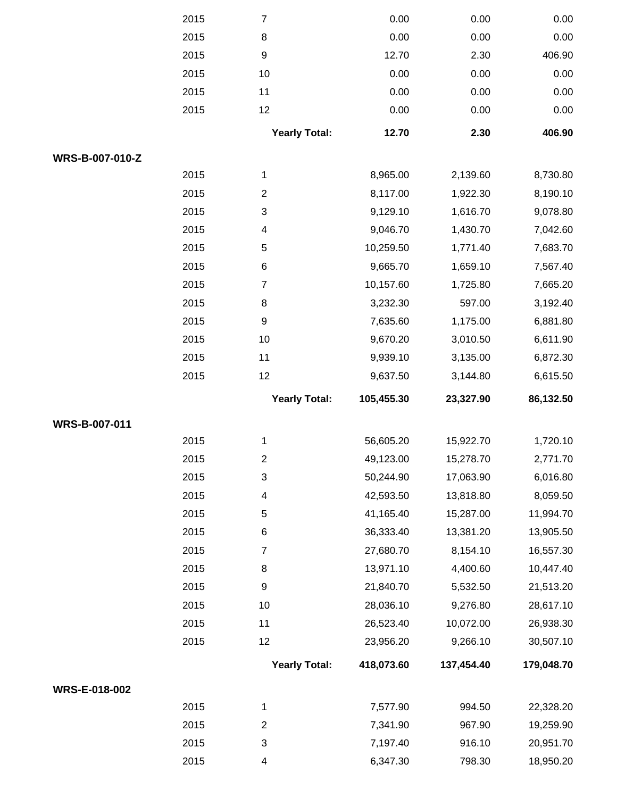|                      | 2015 | $\overline{7}$       | 0.00       | 0.00       | 0.00       |
|----------------------|------|----------------------|------------|------------|------------|
|                      | 2015 | 8                    | 0.00       | 0.00       | 0.00       |
|                      | 2015 | $\boldsymbol{9}$     | 12.70      | 2.30       | 406.90     |
|                      | 2015 | 10                   | 0.00       | 0.00       | 0.00       |
|                      | 2015 | 11                   | 0.00       | 0.00       | 0.00       |
|                      | 2015 | 12                   | 0.00       | 0.00       | 0.00       |
|                      |      | <b>Yearly Total:</b> | 12.70      | 2.30       | 406.90     |
| WRS-B-007-010-Z      |      |                      |            |            |            |
|                      | 2015 | $\mathbf{1}$         | 8,965.00   | 2,139.60   | 8,730.80   |
|                      | 2015 | $\overline{2}$       | 8,117.00   | 1,922.30   | 8,190.10   |
|                      | 2015 | $\sqrt{3}$           | 9,129.10   | 1,616.70   | 9,078.80   |
|                      | 2015 | 4                    | 9,046.70   | 1,430.70   | 7,042.60   |
|                      | 2015 | $\mathbf 5$          | 10,259.50  | 1,771.40   | 7,683.70   |
|                      | 2015 | 6                    | 9,665.70   | 1,659.10   | 7,567.40   |
|                      | 2015 | $\boldsymbol{7}$     | 10,157.60  | 1,725.80   | 7,665.20   |
|                      | 2015 | 8                    | 3,232.30   | 597.00     | 3,192.40   |
|                      | 2015 | $\boldsymbol{9}$     | 7,635.60   | 1,175.00   | 6,881.80   |
|                      | 2015 | 10                   | 9,670.20   | 3,010.50   | 6,611.90   |
|                      | 2015 | 11                   | 9,939.10   | 3,135.00   | 6,872.30   |
|                      | 2015 | 12                   | 9,637.50   | 3,144.80   | 6,615.50   |
|                      |      |                      |            |            |            |
|                      |      | <b>Yearly Total:</b> | 105,455.30 | 23,327.90  | 86,132.50  |
| WRS-B-007-011        |      |                      |            |            |            |
|                      | 2015 | 1                    | 56,605.20  | 15,922.70  | 1,720.10   |
|                      | 2015 | $\mathbf{2}$         | 49,123.00  | 15,278.70  | 2,771.70   |
|                      | 2015 | $\sqrt{3}$           | 50,244.90  | 17,063.90  | 6,016.80   |
|                      | 2015 | 4                    | 42,593.50  | 13,818.80  | 8,059.50   |
|                      | 2015 | 5                    | 41,165.40  | 15,287.00  | 11,994.70  |
|                      | 2015 | 6                    | 36,333.40  | 13,381.20  | 13,905.50  |
|                      | 2015 | $\overline{7}$       | 27,680.70  | 8,154.10   | 16,557.30  |
|                      | 2015 | 8                    | 13,971.10  | 4,400.60   | 10,447.40  |
|                      | 2015 | $\boldsymbol{9}$     | 21,840.70  | 5,532.50   | 21,513.20  |
|                      | 2015 | 10                   | 28,036.10  | 9,276.80   | 28,617.10  |
|                      | 2015 | 11                   | 26,523.40  | 10,072.00  | 26,938.30  |
|                      | 2015 | 12                   | 23,956.20  | 9,266.10   | 30,507.10  |
|                      |      | <b>Yearly Total:</b> | 418,073.60 | 137,454.40 | 179,048.70 |
| <b>WRS-E-018-002</b> |      |                      |            |            |            |
|                      | 2015 | $\mathbf{1}$         | 7,577.90   | 994.50     | 22,328.20  |
|                      | 2015 | $\overline{2}$       | 7,341.90   | 967.90     | 19,259.90  |
|                      | 2015 | 3                    | 7,197.40   | 916.10     | 20,951.70  |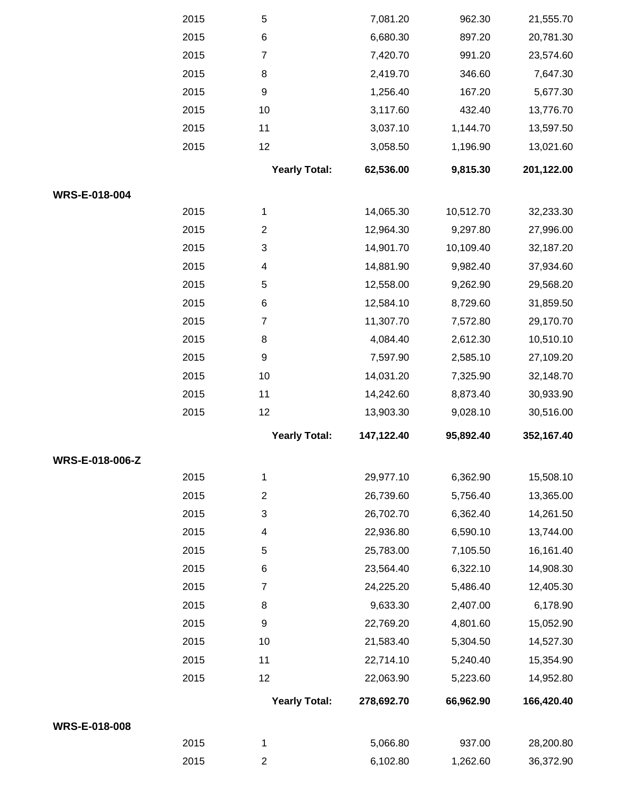|                        | 2015 | $\,$ 5 $\,$          | 7,081.20   | 962.30    | 21,555.70  |
|------------------------|------|----------------------|------------|-----------|------------|
|                        | 2015 | $\,6$                | 6,680.30   | 897.20    | 20,781.30  |
|                        | 2015 | $\boldsymbol{7}$     | 7,420.70   | 991.20    | 23,574.60  |
|                        | 2015 | 8                    | 2,419.70   | 346.60    | 7,647.30   |
|                        | 2015 | $\boldsymbol{9}$     | 1,256.40   | 167.20    | 5,677.30   |
|                        | 2015 | 10                   | 3,117.60   | 432.40    | 13,776.70  |
|                        | 2015 | 11                   | 3,037.10   | 1,144.70  | 13,597.50  |
|                        | 2015 | 12                   | 3,058.50   | 1,196.90  | 13,021.60  |
|                        |      | <b>Yearly Total:</b> | 62,536.00  | 9,815.30  | 201,122.00 |
| WRS-E-018-004          |      |                      |            |           |            |
|                        | 2015 | 1                    | 14,065.30  | 10,512.70 | 32,233.30  |
|                        | 2015 | $\overline{c}$       | 12,964.30  | 9,297.80  | 27,996.00  |
|                        | 2015 | 3                    | 14,901.70  | 10,109.40 | 32,187.20  |
|                        | 2015 | 4                    | 14,881.90  | 9,982.40  | 37,934.60  |
|                        | 2015 | $\,$ 5 $\,$          | 12,558.00  | 9,262.90  | 29,568.20  |
|                        | 2015 | 6                    | 12,584.10  | 8,729.60  | 31,859.50  |
|                        | 2015 | $\boldsymbol{7}$     | 11,307.70  | 7,572.80  | 29,170.70  |
|                        | 2015 | 8                    | 4,084.40   | 2,612.30  | 10,510.10  |
|                        | 2015 | $\boldsymbol{9}$     | 7,597.90   | 2,585.10  | 27,109.20  |
|                        | 2015 | 10                   | 14,031.20  | 7,325.90  | 32,148.70  |
|                        | 2015 | 11                   | 14,242.60  | 8,873.40  | 30,933.90  |
|                        | 2015 | 12                   | 13,903.30  | 9,028.10  | 30,516.00  |
|                        |      | <b>Yearly Total:</b> | 147,122.40 | 95,892.40 | 352,167.40 |
| <b>WRS-E-018-006-Z</b> |      |                      |            |           |            |
|                        | 2015 | 1                    | 29,977.10  | 6,362.90  | 15,508.10  |
|                        | 2015 | $\overline{c}$       | 26,739.60  | 5,756.40  | 13,365.00  |
|                        | 2015 | 3                    | 26,702.70  | 6,362.40  | 14,261.50  |
|                        | 2015 | 4                    | 22,936.80  | 6,590.10  | 13,744.00  |
|                        | 2015 | 5                    | 25,783.00  | 7,105.50  | 16,161.40  |
|                        | 2015 | 6                    | 23,564.40  | 6,322.10  | 14,908.30  |
|                        | 2015 | 7                    | 24,225.20  | 5,486.40  | 12,405.30  |
|                        | 2015 | 8                    | 9,633.30   | 2,407.00  | 6,178.90   |
|                        | 2015 | 9                    | 22,769.20  | 4,801.60  | 15,052.90  |
|                        | 2015 | 10                   | 21,583.40  | 5,304.50  | 14,527.30  |
|                        | 2015 | 11                   | 22,714.10  | 5,240.40  | 15,354.90  |
|                        | 2015 | 12                   | 22,063.90  | 5,223.60  | 14,952.80  |
|                        |      | <b>Yearly Total:</b> | 278,692.70 | 66,962.90 | 166,420.40 |
| WRS-E-018-008          |      |                      |            |           |            |
|                        | 2015 | 1                    | 5,066.80   | 937.00    | 28,200.80  |
|                        | 2015 | $\overline{c}$       | 6,102.80   | 1,262.60  | 36,372.90  |
|                        |      |                      |            |           |            |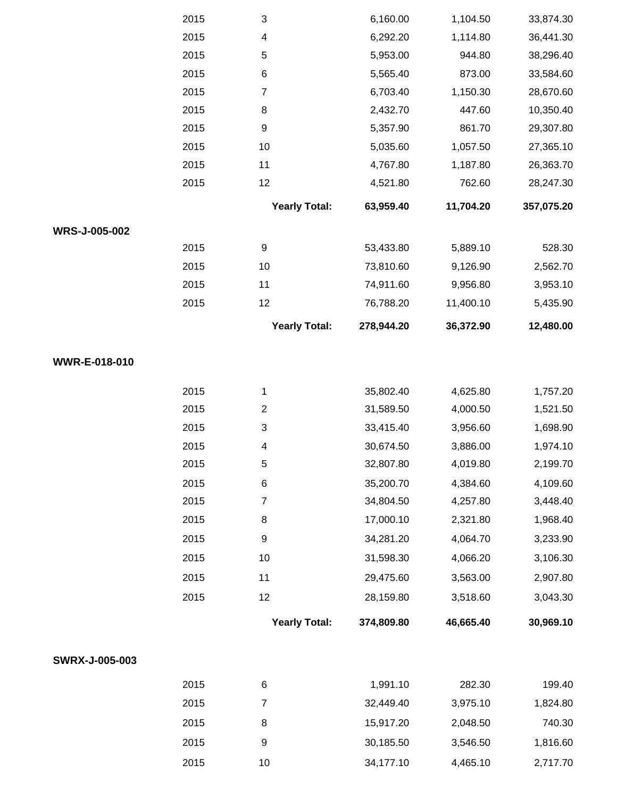|                       | 2015 | $\sqrt{3}$              | 6,160.00   | 1,104.50  | 33,874.30  |
|-----------------------|------|-------------------------|------------|-----------|------------|
|                       | 2015 | $\overline{\mathbf{4}}$ | 6,292.20   | 1,114.80  | 36,441.30  |
|                       | 2015 | 5                       | 5,953.00   | 944.80    | 38,296.40  |
|                       | 2015 | $\,6$                   | 5,565.40   | 873.00    | 33,584.60  |
|                       | 2015 | $\boldsymbol{7}$        | 6,703.40   | 1,150.30  | 28,670.60  |
|                       | 2015 | 8                       | 2,432.70   | 447.60    | 10,350.40  |
|                       | 2015 | $\boldsymbol{9}$        | 5,357.90   | 861.70    | 29,307.80  |
|                       | 2015 | 10                      | 5,035.60   | 1,057.50  | 27,365.10  |
|                       | 2015 | 11                      | 4,767.80   | 1,187.80  | 26,363.70  |
|                       | 2015 | 12                      | 4,521.80   | 762.60    | 28,247.30  |
|                       |      | <b>Yearly Total:</b>    | 63,959.40  | 11,704.20 | 357,075.20 |
| WRS-J-005-002         |      |                         |            |           |            |
|                       | 2015 | 9                       | 53,433.80  | 5,889.10  | 528.30     |
|                       | 2015 | 10                      | 73,810.60  | 9,126.90  | 2,562.70   |
|                       | 2015 | 11                      | 74,911.60  | 9,956.80  | 3,953.10   |
|                       | 2015 | 12                      | 76,788.20  | 11,400.10 | 5,435.90   |
|                       |      | <b>Yearly Total:</b>    | 278,944.20 | 36,372.90 | 12,480.00  |
|                       |      |                         |            |           |            |
| WWR-E-018-010         |      |                         |            |           |            |
|                       | 2015 | 1                       | 35,802.40  | 4,625.80  | 1,757.20   |
|                       | 2015 | $\boldsymbol{2}$        | 31,589.50  | 4,000.50  | 1,521.50   |
|                       | 2015 | $\sqrt{3}$              | 33,415.40  | 3,956.60  | 1,698.90   |
|                       | 2015 | 4                       | 30,674.50  | 3,886.00  | 1,974.10   |
|                       | 2015 | 5                       | 32,807.80  | 4,019.80  | 2,199.70   |
|                       | 2015 | $\,6$                   | 35,200.70  | 4,384.60  | 4,109.60   |
|                       | 2015 | 7                       | 34,804.50  | 4,257.80  | 3,448.40   |
|                       | 2015 | $\,8\,$                 | 17,000.10  | 2,321.80  | 1,968.40   |
|                       | 2015 | $\boldsymbol{9}$        | 34,281.20  | 4,064.70  | 3,233.90   |
|                       | 2015 | $10$                    | 31,598.30  | 4,066.20  | 3,106.30   |
|                       | 2015 | 11                      | 29,475.60  | 3,563.00  | 2,907.80   |
|                       | 2015 | 12                      | 28,159.80  | 3,518.60  | 3,043.30   |
|                       |      | <b>Yearly Total:</b>    | 374,809.80 | 46,665.40 | 30,969.10  |
| <b>SWRX-J-005-003</b> |      |                         |            |           |            |
|                       |      |                         |            |           |            |
|                       | 2015 | 6                       | 1,991.10   | 282.30    | 199.40     |
|                       | 2015 | $\boldsymbol{7}$        | 32,449.40  | 3,975.10  | 1,824.80   |
|                       | 2015 | $\, 8$                  | 15,917.20  | 2,048.50  | 740.30     |
|                       | 2015 | 9                       | 30,185.50  | 3,546.50  | 1,816.60   |
|                       | 2015 | 10                      | 34,177.10  | 4,465.10  | 2,717.70   |